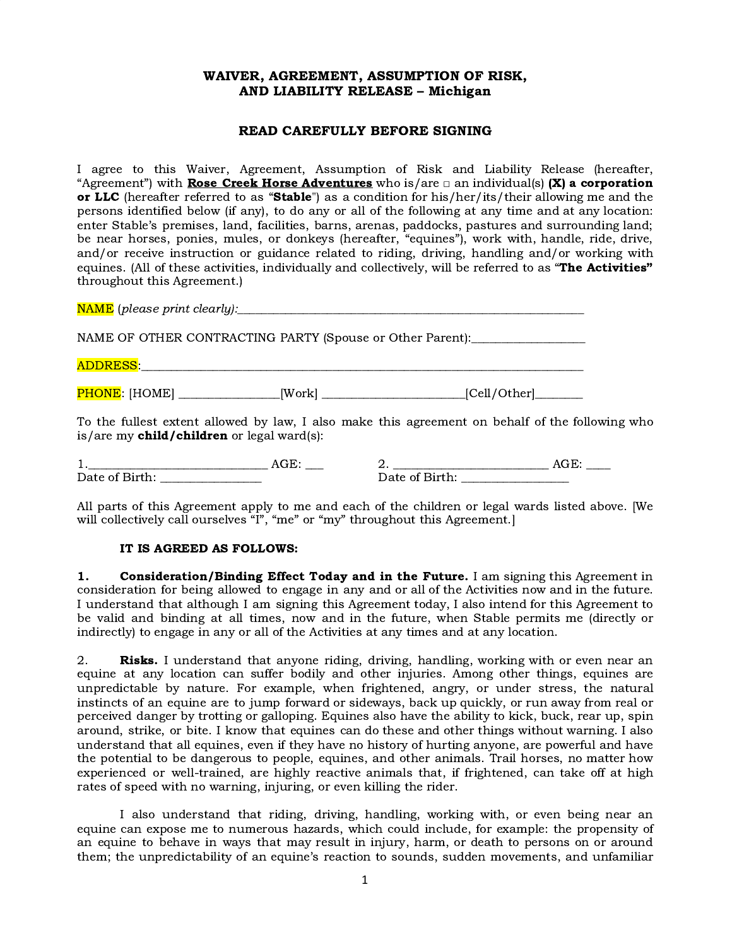# WAIVER, AGREEMENT, ASSUMPTION OF RISK, AND LIABILITY RELEASE – Michigan

### READ CAREFULLY BEFORE SIGNING

I agree to this Waiver, Agreement, Assumption of Risk and Liability Release (hereafter, "Agreement") with **Rose Creek Horse Adventures** who is/are  $\Box$  an individual(s) (X) a corporation or LLC (hereafter referred to as "Stable") as a condition for his/her/its/their allowing me and the persons identified below (if any), to do any or all of the following at any time and at any location: enter Stable's premises, land, facilities, barns, arenas, paddocks, pastures and surrounding land; be near horses, ponies, mules, or donkeys (hereafter, "equines"), work with, handle, ride, drive, and/or receive instruction or guidance related to riding, driving, handling and/or working with equines. (All of these activities, individually and collectively, will be referred to as "The Activities" throughout this Agreement.)

| <b>NAME</b> (please print clearly): <b>Analyzing the set of the set of the set of the set of the set of the set of the set of the set of the set of the set of the set of the set of the set of the set of the set of the set of the </b> |                |                                                                                                 |
|-------------------------------------------------------------------------------------------------------------------------------------------------------------------------------------------------------------------------------------------|----------------|-------------------------------------------------------------------------------------------------|
| NAME OF OTHER CONTRACTING PARTY (Spouse or Other Parent): ______________________                                                                                                                                                          |                |                                                                                                 |
|                                                                                                                                                                                                                                           |                |                                                                                                 |
| <b>PHONE</b> : [HOME] __________________[Work] ____________________________[Cell/Other]________                                                                                                                                           |                |                                                                                                 |
| is/are my child/children or legal ward(s):                                                                                                                                                                                                |                | To the fullest extent allowed by law, I also make this agreement on behalf of the following who |
|                                                                                                                                                                                                                                           | Date of Birth: |                                                                                                 |

All parts of this Agreement apply to me and each of the children or legal wards listed above. [We will collectively call ourselves "I", "me" or "my" throughout this Agreement.

### IT IS AGREED AS FOLLOWS:

1. Consideration/Binding Effect Today and in the Future. I am signing this Agreement in consideration for being allowed to engage in any and or all of the Activities now and in the future. I understand that although I am signing this Agreement today, I also intend for this Agreement to be valid and binding at all times, now and in the future, when Stable permits me (directly or indirectly) to engage in any or all of the Activities at any times and at any location.

2. **Risks.** I understand that anyone riding, driving, handling, working with or even near an equine at any location can suffer bodily and other injuries. Among other things, equines are unpredictable by nature. For example, when frightened, angry, or under stress, the natural instincts of an equine are to jump forward or sideways, back up quickly, or run away from real or perceived danger by trotting or galloping. Equines also have the ability to kick, buck, rear up, spin around, strike, or bite. I know that equines can do these and other things without warning. I also understand that all equines, even if they have no history of hurting anyone, are powerful and have the potential to be dangerous to people, equines, and other animals. Trail horses, no matter how experienced or well-trained, are highly reactive animals that, if frightened, can take off at high rates of speed with no warning, injuring, or even killing the rider.

I also understand that riding, driving, handling, working with, or even being near an equine can expose me to numerous hazards, which could include, for example: the propensity of an equine to behave in ways that may result in injury, harm, or death to persons on or around them; the unpredictability of an equine's reaction to sounds, sudden movements, and unfamiliar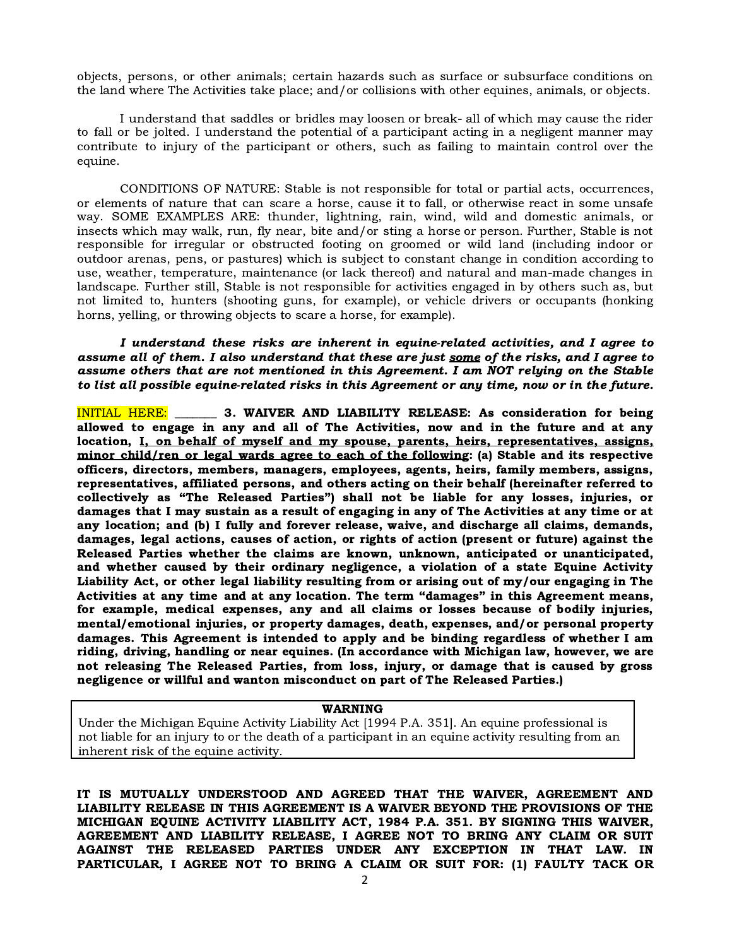objects, persons, or other animals; certain hazards such as surface or subsurface conditions on the land where The Activities take place; and/or collisions with other equines, animals, or objects.

I understand that saddles or bridles may loosen or break- all of which may cause the rider to fall or be jolted. I understand the potential of a participant acting in a negligent manner may contribute to injury of the participant or others, such as failing to maintain control over the equine.

CONDITIONS OF NATURE: Stable is not responsible for total or partial acts, occurrences, or elements of nature that can scare a horse, cause it to fall, or otherwise react in some unsafe way. SOME EXAMPLES ARE: thunder, lightning, rain, wind, wild and domestic animals, or insects which may walk, run, fly near, bite and/or sting a horse or person. Further, Stable is not responsible for irregular or obstructed footing on groomed or wild land (including indoor or outdoor arenas, pens, or pastures) which is subject to constant change in condition according to use, weather, temperature, maintenance (or lack thereof) and natural and man-made changes in landscape. Further still, Stable is not responsible for activities engaged in by others such as, but not limited to, hunters (shooting guns, for example), or vehicle drivers or occupants (honking horns, yelling, or throwing objects to scare a horse, for example).

I understand these risks are inherent in equine-related activities, and I agree to assume all of them. I also understand that these are just some of the risks, and I agree to assume others that are not mentioned in this Agreement. I am NOT relying on the Stable to list all possible equine-related risks in this Agreement or any time, now or in the future.

INITIAL HERE: \_\_\_\_\_\_\_ 3. WAIVER AND LIABILITY RELEASE: As consideration for being allowed to engage in any and all of The Activities, now and in the future and at any location, I, on behalf of myself and my spouse, parents, heirs, representatives, assigns, minor child/ren or legal wards agree to each of the following: (a) Stable and its respective officers, directors, members, managers, employees, agents, heirs, family members, assigns, representatives, affiliated persons, and others acting on their behalf (hereinafter referred to collectively as "The Released Parties") shall not be liable for any losses, injuries, or damages that I may sustain as a result of engaging in any of The Activities at any time or at any location; and (b) I fully and forever release, waive, and discharge all claims, demands, damages, legal actions, causes of action, or rights of action (present or future) against the Released Parties whether the claims are known, unknown, anticipated or unanticipated, and whether caused by their ordinary negligence, a violation of a state Equine Activity Liability Act, or other legal liability resulting from or arising out of my/our engaging in The Activities at any time and at any location. The term "damages" in this Agreement means, for example, medical expenses, any and all claims or losses because of bodily injuries, mental/emotional injuries, or property damages, death, expenses, and/or personal property damages. This Agreement is intended to apply and be binding regardless of whether I am riding, driving, handling or near equines. (In accordance with Michigan law, however, we are not releasing The Released Parties, from loss, injury, or damage that is caused by gross negligence or willful and wanton misconduct on part of The Released Parties.)

#### WARNING

Under the Michigan Equine Activity Liability Act [1994 P.A. 351]. An equine professional is not liable for an injury to or the death of a participant in an equine activity resulting from an inherent risk of the equine activity.

IT IS MUTUALLY UNDERSTOOD AND AGREED THAT THE WAIVER, AGREEMENT AND LIABILITY RELEASE IN THIS AGREEMENT IS A WAIVER BEYOND THE PROVISIONS OF THE MICHIGAN EQUINE ACTIVITY LIABILITY ACT, 1984 P.A. 351. BY SIGNING THIS WAIVER, AGREEMENT AND LIABILITY RELEASE, I AGREE NOT TO BRING ANY CLAIM OR SUIT AGAINST THE RELEASED PARTIES UNDER ANY EXCEPTION IN THAT LAW. IN PARTICULAR, I AGREE NOT TO BRING A CLAIM OR SUIT FOR: (1) FAULTY TACK OR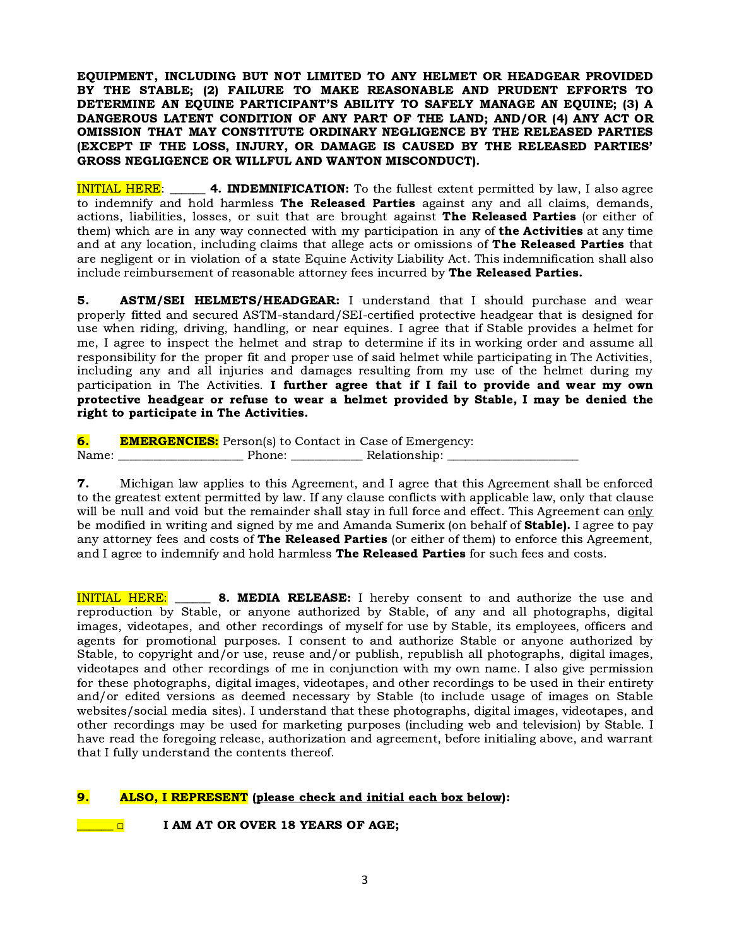EQUIPMENT, INCLUDING BUT NOT LIMITED TO ANY HELMET OR HEADGEAR PROVIDED BY THE STABLE; (2) FAILURE TO MAKE REASONABLE AND PRUDENT EFFORTS TO DETERMINE AN EQUINE PARTICIPANT'S ABILITY TO SAFELY MANAGE AN EQUINE; (3) A DANGEROUS LATENT CONDITION OF ANY PART OF THE LAND; AND/OR (4) ANY ACT OR OMISSION THAT MAY CONSTITUTE ORDINARY NEGLIGENCE BY THE RELEASED PARTIES (EXCEPT IF THE LOSS, INJURY, OR DAMAGE IS CAUSED BY THE RELEASED PARTIES' GROSS NEGLIGENCE OR WILLFUL AND WANTON MISCONDUCT).

INITIAL HERE: **4. INDEMNIFICATION:** To the fullest extent permitted by law, I also agree to indemnify and hold harmless The Released Parties against any and all claims, demands, actions, liabilities, losses, or suit that are brought against The Released Parties (or either of them) which are in any way connected with my participation in any of **the Activities** at any time and at any location, including claims that allege acts or omissions of The Released Parties that are negligent or in violation of a state Equine Activity Liability Act. This indemnification shall also include reimbursement of reasonable attorney fees incurred by The Released Parties.

**5. ASTM/SEI HELMETS/HEADGEAR:** I understand that I should purchase and wear properly fitted and secured ASTM-standard/SEI-certified protective headgear that is designed for use when riding, driving, handling, or near equines. I agree that if Stable provides a helmet for me, I agree to inspect the helmet and strap to determine if its in working order and assume all responsibility for the proper fit and proper use of said helmet while participating in The Activities, including any and all injuries and damages resulting from my use of the helmet during my participation in The Activities. I further agree that if I fail to provide and wear my own protective headgear or refuse to wear a helmet provided by Stable, I may be denied the right to participate in The Activities.

**6.** EMERGENCIES: Person(s) to Contact in Case of Emergency: Name: \_\_\_\_\_\_\_\_\_\_\_\_\_\_\_\_\_\_\_\_\_ Phone: \_\_\_\_\_\_\_\_\_\_\_\_ Relationship: \_\_\_\_\_\_\_\_\_\_\_\_\_\_\_\_\_\_\_\_\_\_

7. Michigan law applies to this Agreement, and I agree that this Agreement shall be enforced to the greatest extent permitted by law. If any clause conflicts with applicable law, only that clause will be null and void but the remainder shall stay in full force and effect. This Agreement can only be modified in writing and signed by me and Amanda Sumerix (on behalf of **Stable).** I agree to pay any attorney fees and costs of The Released Parties (or either of them) to enforce this Agreement, and I agree to indemnify and hold harmless The Released Parties for such fees and costs.

INITIAL HERE: \_\_\_\_\_ 8. MEDIA RELEASE: I hereby consent to and authorize the use and reproduction by Stable, or anyone authorized by Stable, of any and all photographs, digital images, videotapes, and other recordings of myself for use by Stable, its employees, officers and agents for promotional purposes. I consent to and authorize Stable or anyone authorized by Stable, to copyright and/or use, reuse and/or publish, republish all photographs, digital images, videotapes and other recordings of me in conjunction with my own name. I also give permission for these photographs, digital images, videotapes, and other recordings to be used in their entirety and/or edited versions as deemed necessary by Stable (to include usage of images on Stable websites/social media sites). I understand that these photographs, digital images, videotapes, and other recordings may be used for marketing purposes (including web and television) by Stable. I have read the foregoing release, authorization and agreement, before initialing above, and warrant that I fully understand the contents thereof.

# 9. ALSO, I REPRESENT (please check and initial each box below):

**U** □ I AM AT OR OVER 18 YEARS OF AGE;